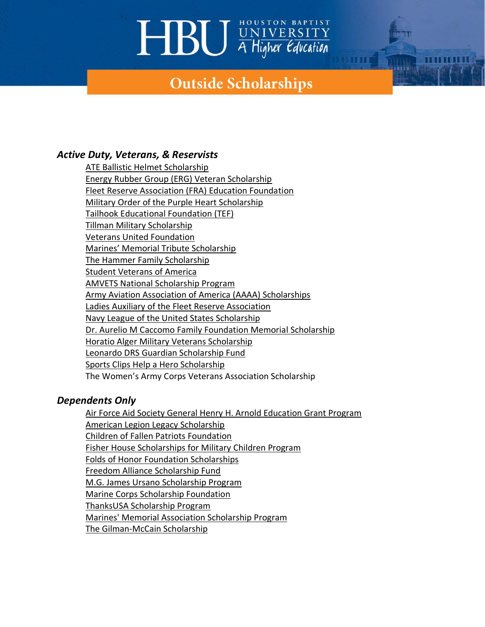# **HBU** WIVERSITY

### **Outside Scholarships**

### *Active Duty, Veterans, & Reservists*

[ATE Ballistic Helmet Scholarship](https://www.hardheadveterans.com/pages/ate-ballistic-helmet-scholarships) [Energy Rubber Group \(ERG\) Veteran Scholarship](https://www.fra.org/fra/Web/Events_and_Programs/Fra_Education_Foundation_Scholarships/Web/Content/FRA_Education_Foundation.aspx?hkey=fe5fe4c8-48b6-4003-be7b-5f3f317c6600) [Fleet Reserve Association \(FRA\) Education Foundation](https://www.fra.org/fra/Web/Events_and_Programs/Fra_Education_Foundation_Scholarships/Web/Content/FRA_Education_Foundation.aspx?hkey=fe5fe4c8-48b6-4003-be7b-5f3f317c6600) [Military Order of the Purple Heart Scholarship](https://purpleheartmn.org/the-purple-heart-scholarship-program/) [Tailhook Educational Foundation \(TEF\)](https://www.tailhook.net/tef) [Tillman Military Scholarship](https://pattillmanfoundation.org/tillman-scholars-military-scholarships/?gclid=Cj0KCQiAmKiQBhClARIsAKtSj-kVGwEjfE5kx_6cFO7EWDqe_Vgz7i3GY3BfpLeuM0Y9ZIsjEYvXNDEaAqBmEALw_wcB) [Veterans United Foundation](https://www.enhancelives.com/scholarships/) Marines' M[emorial Tribute Scholarship](https://marinesmemorial.org/scholarships/marines-memorial-tribute-scholarship/#:~:text=About%20the%20Tribute%20Scholarship%3A%20The,an%20undergraduate%20or%20graduate%20program.) [The Hammer Family Scholarship](https://marinesmemorial.org/scholarships/hammer-family/) [Student Veterans of America](https://studentveterans.org/programs-events/scholarships/) [AMVETS National Scholarship Program](https://amvets.org/scholarships/) [Army Aviation Association of America \(AAAA\) Scholarships](https://www.quad-a.org/scholarship) [Ladies Auxiliary of the Fleet Reserve Association](https://www.la-fra.org/scholarship.html) [Navy League of the United States Scholarship](https://www.navyleague.org/programs/scholarships/) [Dr. Aurelio M Caccomo Family Foundation Memorial Scholarship](https://usascholarships.com/dr-aurelio-m-caccomo-family-foundation-memorial-scholarship/) [Horatio Alger Military Veterans Scholarship](https://scholars.horatioalger.org/scholarships/) [Leonardo DRS Guardian Scholarship Fund](https://www.ngef.org/get-involved/apply-for-the-leonardo-drs-guardian-scholarship/#:~:text=Established%20in%202011%20and%20underwritten,our%20nation%20since%209%2F11.) [Sports Clips Help a Hero Scholarship](https://www.vfw.org/scholarship/) The Women's Army Corps Veterans Association Scholarship

### *Dependents Only*

[Air Force Aid Society General Henry H. Arnold Education Grant Program](https://afas.org/haparnoldgrant/) [American Legion Legacy Scholarship](https://www.legion.org/scholarships/legacy) [Children of Fallen Patriots Foundation](https://www.fallenpatriots.org/enroll-a-student) [Fisher House Scholarships for Military Children Program](https://fisherhouse.org/programs/scholarship-programs/scholarships-for-military-children/) [Folds of Honor Foundation Scholarships](https://foldsofhonor.org/scholarships/) [Freedom Alliance Scholarship Fund](https://fascholarship.com/) [M.G. James Ursano Scholarship Program](https://www.armyemergencyrelief.org/scholarships/child/) [Marine Corps Scholarship Foundation](https://www.mcsf.org/) [ThanksUSA Scholarship Program](https://www.thanksusa.org/scholarships.html) [Marines' Memorial Association Scholarship Program](https://marinesmemorial.org/members/scholarships/) [The Gilman-McCain Scholarship](https://gilmanapplication.iie.org/Mccain/Default.aspx?ReturnUrl=%2fmccain%2f)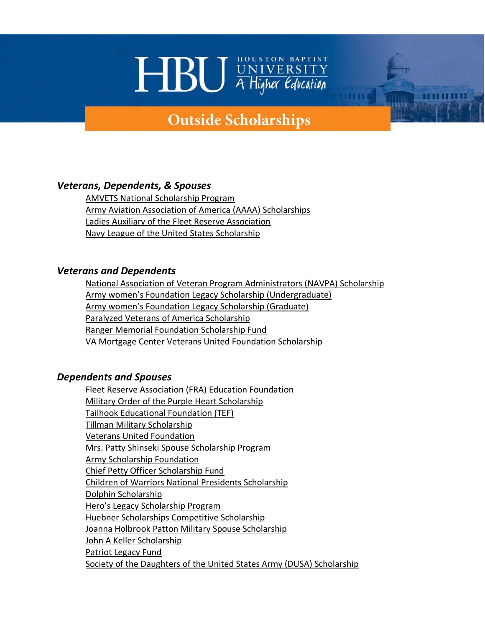## **HBU** WIVERSITY

### **Outside Scholarships**

### *Veterans, Dependents, & Spouses*

[AMVETS National Scholarship Program](https://amvets.org/scholarships/) [Army Aviation Association of America \(AAAA\) Scholarships](https://www.quad-a.org/scholarship) [Ladies Auxiliary of the Fleet Reserve Association](https://www.la-fra.org/scholarship.html) [Navy League of the United States Scholarship](https://www.navyleague.org/programs/scholarships/)

#### *Veterans and Dependents*

[National Association of Veteran Program Administrators \(NAVPA\) Scholarship](https://navpa.org/scholarship/) [Army women's Foundation Legacy Scholarship \(Undergraduate\)](https://www.awfdn.org/scholarships/general-information/) [Army women's Foundation Legacy Scholarship \(Graduate\)](https://www.awfdn.org/scholarships/general-information/) [Paralyzed Veterans of America Scholarship](https://pva.org/find-support/scholarship-program/) [Ranger Memorial Foundation Scholarship Fund](https://nationalrangerfoundation.com/scholarship/) [VA Mortgage Center Veterans United Foundation Scholarship](https://www.veteransunited.com/about/scholarships/)

#### *Dependents and Spouses*

[Fleet Reserve Association \(FRA\) Education Foundation](https://www.fra.org/fra/Web/Events_and_Programs/Fra_Education_Foundation_Scholarships/Web/Content/FRA_Education_Foundation.aspx?hkey=fe5fe4c8-48b6-4003-be7b-5f3f317c6600) [Military Order of the Purple Heart Scholarship](https://purpleheartmn.org/the-purple-heart-scholarship-program/) [Tailhook Educational Foundation \(TEF\)](https://www.tailhook.net/tef) [Tillman Military Scholarship](https://pattillmanfoundation.org/tillman-scholars-military-scholarships/?gclid=Cj0KCQiAmKiQBhClARIsAKtSj-kVGwEjfE5kx_6cFO7EWDqe_Vgz7i3GY3BfpLeuM0Y9ZIsjEYvXNDEaAqBmEALw_wcB) [Veterans United Foundation](https://www.enhancelives.com/scholarships/) [Mrs. Patty Shinseki Spouse Scholarship Program](https://www.armyemergencyrelief.org/scholarships/spouse/) [Army Scholarship Foundation](https://armyscholarshipfoundation.org/scholarships/) [Chief Petty Officer Scholarship Fund](https://www.cposf.org/scholarship) [Children of Warriors National Presidents Scholarship](https://www.legion-aux.org/Scholarships/Children-of-Warriors) [Dolphin Scholarship](https://dolphinscholarship.org/scholarships/) [Hero's Legacy Scholarship Program](https://fisherhouse.org/programs/scholarship-programs/heroes-legacy-scholarship/) [Huebner Scholarships Competitive Scholarship](https://www.1stid.org/scholarships) [Joanna Holbrook Patton Military Spouse Scholarship](https://www.militaryfamily.org/programs/spouses-scholarships/military-spouse-scholarship-faqs/) [John A Keller Scholarship](https://www.cwoauscg.org/scholarships.html) [Patriot Legacy Fund](https://patriotlegacyfund.org/) [Society of the Daughters of the United States Army \(DUSA\) Scholarship](https://armydaughters.org/scholarships/)